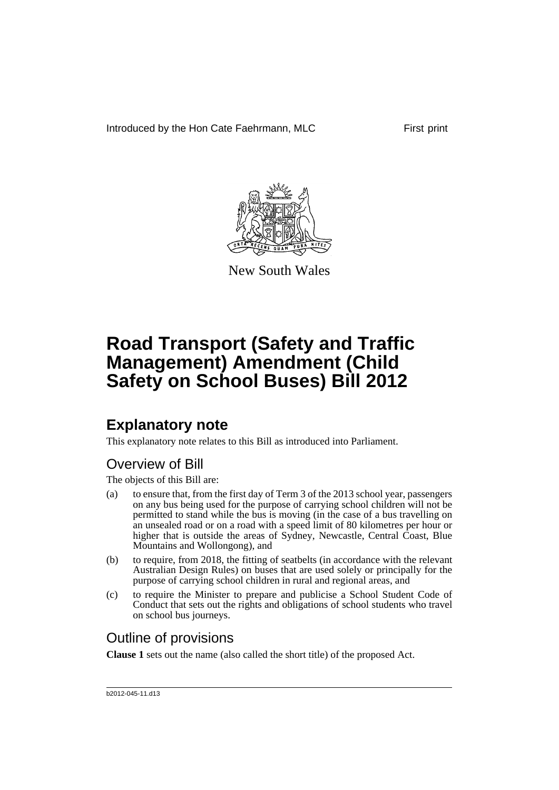Introduced by the Hon Cate Faehrmann, MLC First print



New South Wales

# **Road Transport (Safety and Traffic Management) Amendment (Child Safety on School Buses) Bill 2012**

# **Explanatory note**

This explanatory note relates to this Bill as introduced into Parliament.

# Overview of Bill

The objects of this Bill are:

- (a) to ensure that, from the first day of Term 3 of the 2013 school year, passengers on any bus being used for the purpose of carrying school children will not be permitted to stand while the bus is moving (in the case of a bus travelling on an unsealed road or on a road with a speed limit of 80 kilometres per hour or higher that is outside the areas of Sydney, Newcastle, Central Coast, Blue Mountains and Wollongong), and
- (b) to require, from 2018, the fitting of seatbelts (in accordance with the relevant Australian Design Rules) on buses that are used solely or principally for the purpose of carrying school children in rural and regional areas, and
- (c) to require the Minister to prepare and publicise a School Student Code of Conduct that sets out the rights and obligations of school students who travel on school bus journeys.

# Outline of provisions

**Clause 1** sets out the name (also called the short title) of the proposed Act.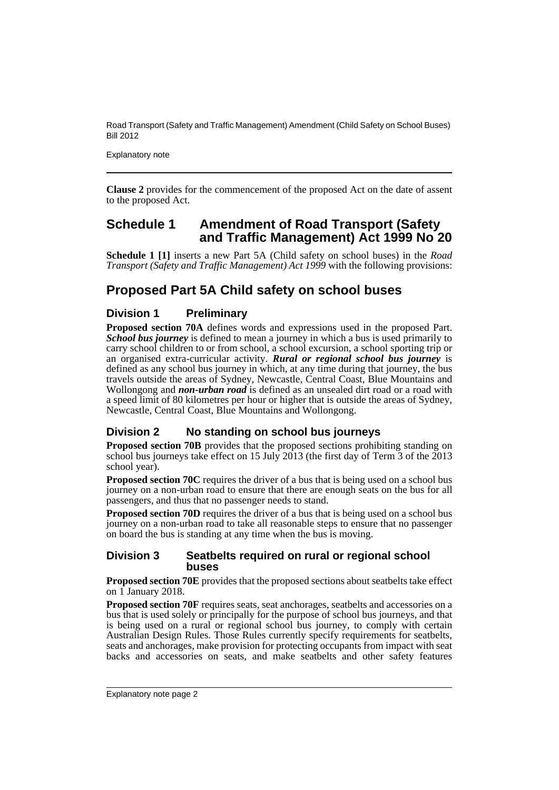Explanatory note

**Clause 2** provides for the commencement of the proposed Act on the date of assent to the proposed Act.

### **Schedule 1 Amendment of Road Transport (Safety and Traffic Management) Act 1999 No 20**

**Schedule 1 [1]** inserts a new Part 5A (Child safety on school buses) in the *Road Transport (Safety and Traffic Management) Act 1999* with the following provisions:

# **Proposed Part 5A Child safety on school buses**

### **Division 1 Preliminary**

**Proposed section 70A** defines words and expressions used in the proposed Part. **School bus journey** is defined to mean a journey in which a bus is used primarily to carry school children to or from school, a school excursion, a school sporting trip or an organised extra-curricular activity. *Rural or regional school bus journey* is defined as any school bus journey in which, at any time during that journey, the bus travels outside the areas of Sydney, Newcastle, Central Coast, Blue Mountains and Wollongong and *non-urban road* is defined as an unsealed dirt road or a road with a speed limit of 80 kilometres per hour or higher that is outside the areas of Sydney, Newcastle, Central Coast, Blue Mountains and Wollongong.

### **Division 2 No standing on school bus journeys**

**Proposed section 70B** provides that the proposed sections prohibiting standing on school bus journeys take effect on 15 July 2013 (the first day of Term  $\overline{3}$  of the  $\overline{2013}$ school year).

**Proposed section 70C** requires the driver of a bus that is being used on a school bus journey on a non-urban road to ensure that there are enough seats on the bus for all passengers, and thus that no passenger needs to stand.

**Proposed section 70D** requires the driver of a bus that is being used on a school bus journey on a non-urban road to take all reasonable steps to ensure that no passenger on board the bus is standing at any time when the bus is moving.

#### **Division 3 Seatbelts required on rural or regional school buses**

**Proposed section 70E** provides that the proposed sections about seatbelts take effect on 1 January 2018.

**Proposed section 70F** requires seats, seat anchorages, seatbelts and accessories on a bus that is used solely or principally for the purpose of school bus journeys, and that is being used on a rural or regional school bus journey, to comply with certain Australian Design Rules. Those Rules currently specify requirements for seatbelts, seats and anchorages, make provision for protecting occupants from impact with seat backs and accessories on seats, and make seatbelts and other safety features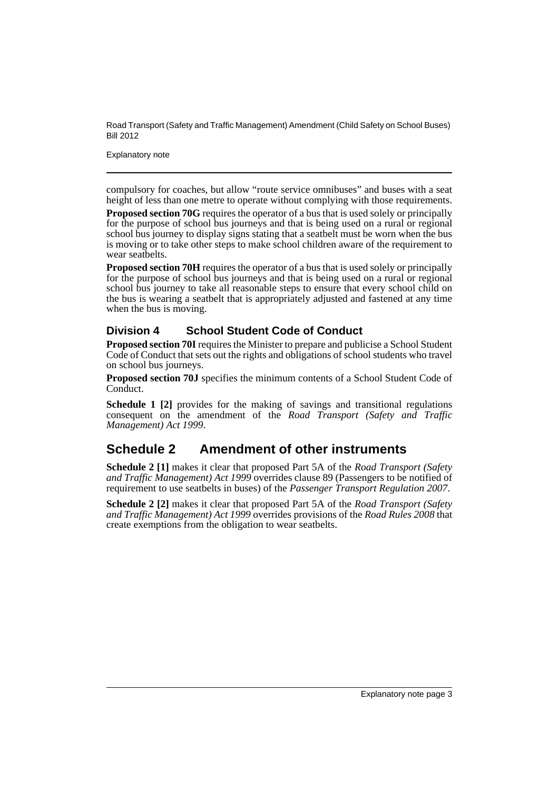Explanatory note

compulsory for coaches, but allow "route service omnibuses" and buses with a seat height of less than one metre to operate without complying with those requirements.

**Proposed section 70G** requires the operator of a bus that is used solely or principally for the purpose of school bus journeys and that is being used on a rural or regional school bus journey to display signs stating that a seatbelt must be worn when the bus is moving or to take other steps to make school children aware of the requirement to wear seatbelts.

**Proposed section 70H** requires the operator of a bus that is used solely or principally for the purpose of school bus journeys and that is being used on a rural or regional school bus journey to take all reasonable steps to ensure that every school child on the bus is wearing a seatbelt that is appropriately adjusted and fastened at any time when the bus is moving.

### **Division 4 School Student Code of Conduct**

**Proposed section 70I** requires the Minister to prepare and publicise a School Student Code of Conduct that sets out the rights and obligations of school students who travel on school bus journeys.

**Proposed section 70J** specifies the minimum contents of a School Student Code of Conduct.

**Schedule 1 [2]** provides for the making of savings and transitional regulations consequent on the amendment of the *Road Transport (Safety and Traffic Management) Act 1999*.

# **Schedule 2 Amendment of other instruments**

**Schedule 2 [1]** makes it clear that proposed Part 5A of the *Road Transport (Safety and Traffic Management) Act 1999* overrides clause 89 (Passengers to be notified of requirement to use seatbelts in buses) of the *Passenger Transport Regulation 2007*.

**Schedule 2 [2]** makes it clear that proposed Part 5A of the *Road Transport (Safety and Traffic Management) Act 1999* overrides provisions of the *Road Rules 2008* that create exemptions from the obligation to wear seatbelts.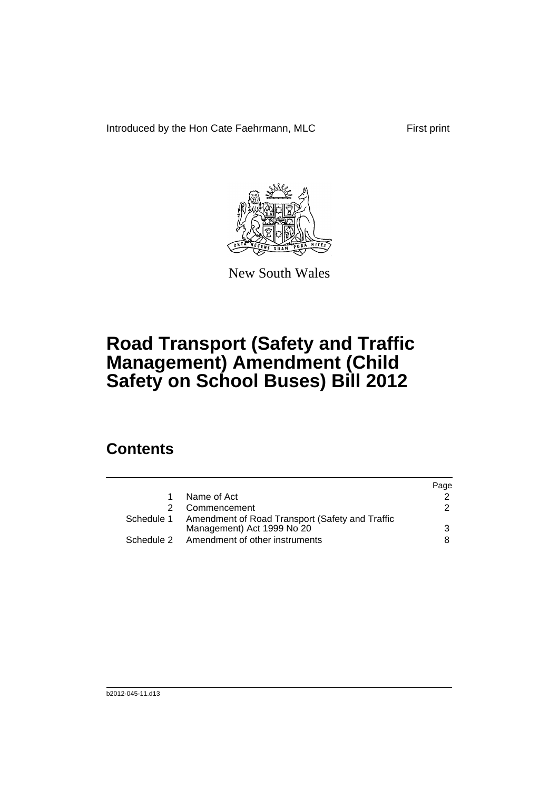Introduced by the Hon Cate Faehrmann, MLC First print



New South Wales

# **Road Transport (Safety and Traffic Management) Amendment (Child Safety on School Buses) Bill 2012**

# **Contents**

|            |                                                                                          | Page          |
|------------|------------------------------------------------------------------------------------------|---------------|
|            | Name of Act                                                                              |               |
|            | Commencement                                                                             | $\mathcal{P}$ |
|            | Schedule 1 Amendment of Road Transport (Safety and Traffic<br>Management) Act 1999 No 20 | 3             |
| Schedule 2 | Amendment of other instruments                                                           | 8.            |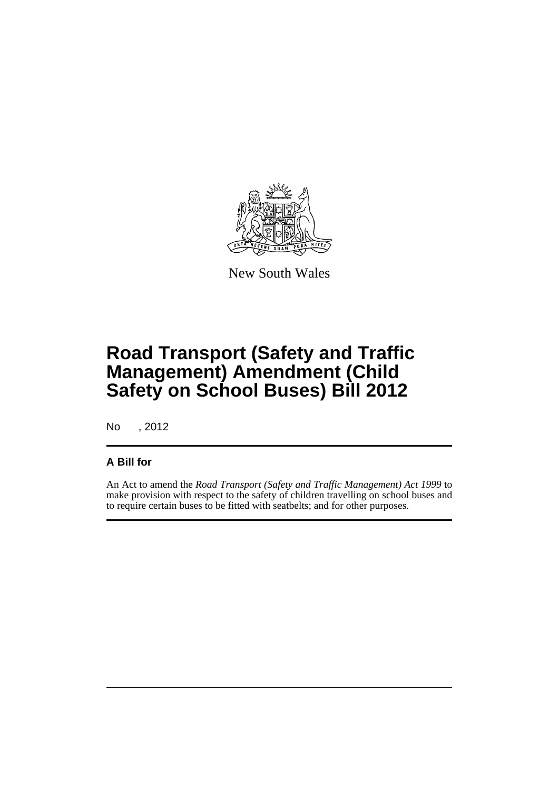

New South Wales

# **Road Transport (Safety and Traffic Management) Amendment (Child Safety on School Buses) Bill 2012**

No , 2012

### **A Bill for**

An Act to amend the *Road Transport (Safety and Traffic Management) Act 1999* to make provision with respect to the safety of children travelling on school buses and to require certain buses to be fitted with seatbelts; and for other purposes.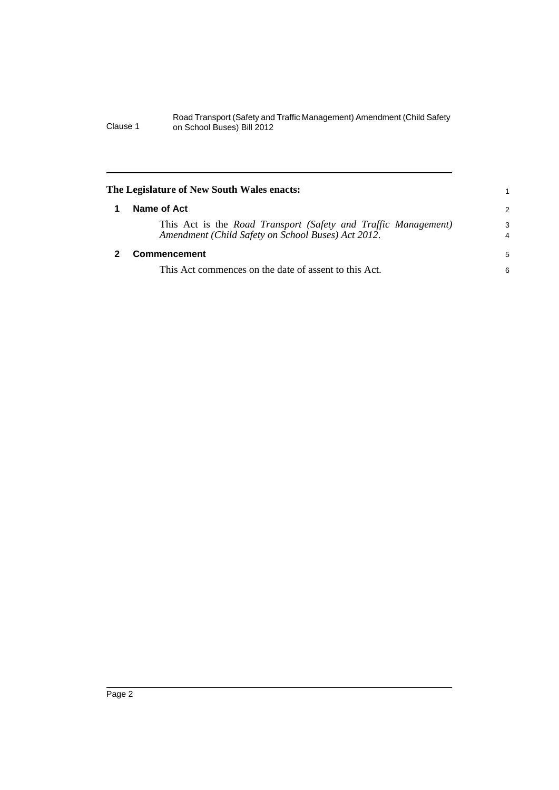<span id="page-7-1"></span><span id="page-7-0"></span>

| The Legislature of New South Wales enacts:                                                                           |                     |
|----------------------------------------------------------------------------------------------------------------------|---------------------|
| Name of Act                                                                                                          | 2                   |
| This Act is the Road Transport (Safety and Traffic Management)<br>Amendment (Child Safety on School Buses) Act 2012. | 3<br>$\overline{4}$ |
| <b>Commencement</b>                                                                                                  | 5                   |
| This Act commences on the date of assent to this Act.                                                                | 6                   |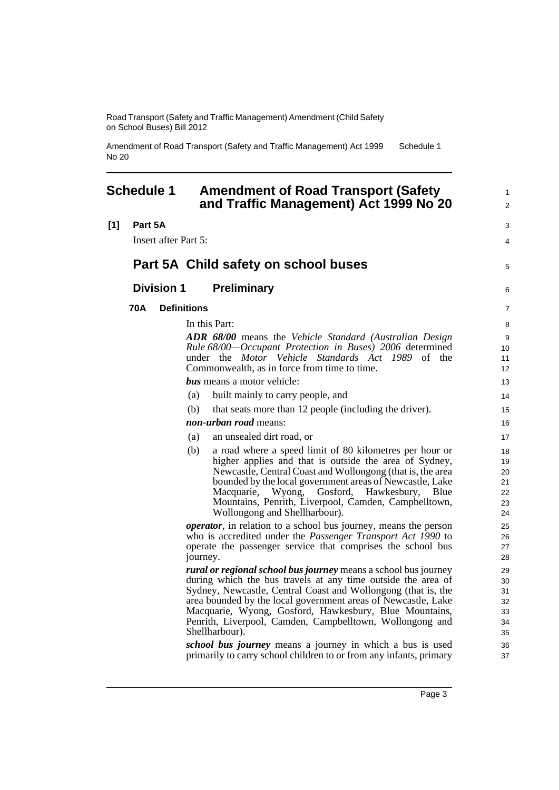**[1] Part 5A**

Amendment of Road Transport (Safety and Traffic Management) Act 1999 No 20 Schedule 1

# <span id="page-8-0"></span>**Schedule 1 Amendment of Road Transport (Safety**

|         |                             |                    | and Traffic Management) Act 1999 No 20                                                                                                                                                                                                                                                                                                                                                                                                                                                                                                              |
|---------|-----------------------------|--------------------|-----------------------------------------------------------------------------------------------------------------------------------------------------------------------------------------------------------------------------------------------------------------------------------------------------------------------------------------------------------------------------------------------------------------------------------------------------------------------------------------------------------------------------------------------------|
| Part 5A |                             |                    |                                                                                                                                                                                                                                                                                                                                                                                                                                                                                                                                                     |
|         | <b>Insert after Part 5:</b> |                    |                                                                                                                                                                                                                                                                                                                                                                                                                                                                                                                                                     |
|         |                             |                    | Part 5A Child safety on school buses                                                                                                                                                                                                                                                                                                                                                                                                                                                                                                                |
|         | <b>Division 1</b>           |                    | <b>Preliminary</b>                                                                                                                                                                                                                                                                                                                                                                                                                                                                                                                                  |
| 70A     |                             | <b>Definitions</b> |                                                                                                                                                                                                                                                                                                                                                                                                                                                                                                                                                     |
|         |                             |                    | In this Part:                                                                                                                                                                                                                                                                                                                                                                                                                                                                                                                                       |
|         |                             |                    | ADR 68/00 means the Vehicle Standard (Australian Design<br>Rule 68/00-Occupant Protection in Buses) 2006 determined<br>under the Motor Vehicle Standards Act 1989 of the<br>Commonwealth, as in force from time to time.                                                                                                                                                                                                                                                                                                                            |
|         |                             |                    | <b>bus</b> means a motor vehicle:                                                                                                                                                                                                                                                                                                                                                                                                                                                                                                                   |
|         |                             | (a)                | built mainly to carry people, and                                                                                                                                                                                                                                                                                                                                                                                                                                                                                                                   |
|         |                             | (b)                | that seats more than 12 people (including the driver).                                                                                                                                                                                                                                                                                                                                                                                                                                                                                              |
|         |                             |                    | non-urban road means:                                                                                                                                                                                                                                                                                                                                                                                                                                                                                                                               |
|         |                             | (a)                | an unsealed dirt road, or                                                                                                                                                                                                                                                                                                                                                                                                                                                                                                                           |
|         |                             | (b)                | a road where a speed limit of 80 kilometres per hour or<br>higher applies and that is outside the area of Sydney,<br>Newcastle, Central Coast and Wollongong (that is, the area<br>bounded by the local government areas of Newcastle, Lake<br>Wyong, Gosford, Hawkesbury,<br>Macquarie,<br>Blue<br>Mountains, Penrith, Liverpool, Camden, Campbelltown,<br>Wollongong and Shellharbour).                                                                                                                                                           |
|         |                             | journey.           | <i>operator</i> , in relation to a school bus journey, means the person<br>who is accredited under the <i>Passenger Transport Act 1990</i> to<br>operate the passenger service that comprises the school bus                                                                                                                                                                                                                                                                                                                                        |
|         |                             |                    | <i>rural or regional school bus journey</i> means a school bus journey<br>during which the bus travels at any time outside the area of<br>Sydney, Newcastle, Central Coast and Wollongong (that is, the<br>area bounded by the local government areas of Newcastle, Lake<br>Macquarie, Wyong, Gosford, Hawkesbury, Blue Mountains,<br>Penrith, Liverpool, Camden, Campbelltown, Wollongong and<br>Shellharbour).<br>school bus journey means a journey in which a bus is used<br>primarily to carry school children to or from any infants, primary |

1 2

3 4

5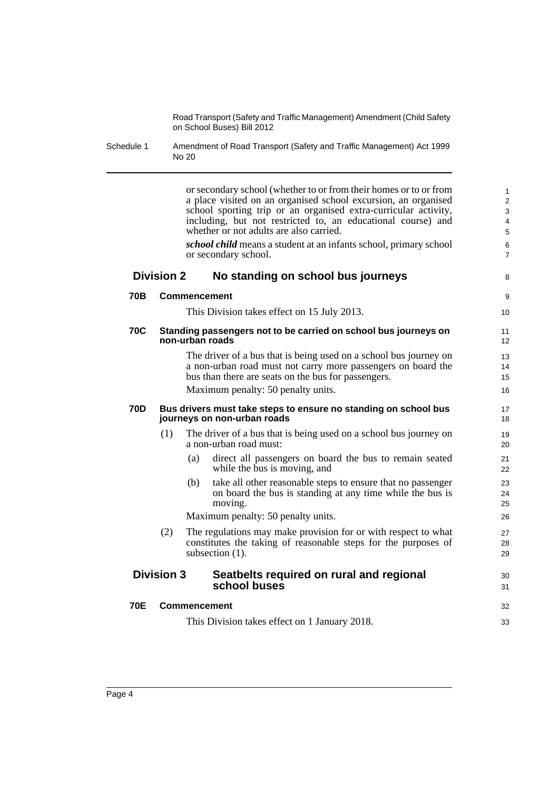Schedule 1 Amendment of Road Transport (Safety and Traffic Management) Act 1999 No 20

or secondary school (whether to or from their homes or to or from a place visited on an organised school excursion, an organised school sporting trip or an organised extra-curricular activity, including, but not restricted to, an educational course) and whether or not adults are also carried. *school child* means a student at an infants school, primary school or secondary school. **Division 2 No standing on school bus journeys 70B Commencement** This Division takes effect on 15 July 2013. **70C Standing passengers not to be carried on school bus journeys on non-urban roads** The driver of a bus that is being used on a school bus journey on a non-urban road must not carry more passengers on board the bus than there are seats on the bus for passengers. Maximum penalty: 50 penalty units. **70D Bus drivers must take steps to ensure no standing on school bus journeys on non-urban roads** (1) The driver of a bus that is being used on a school bus journey on a non-urban road must: (a) direct all passengers on board the bus to remain seated while the bus is moving, and (b) take all other reasonable steps to ensure that no passenger on board the bus is standing at any time while the bus is moving. Maximum penalty: 50 penalty units. (2) The regulations may make provision for or with respect to what constitutes the taking of reasonable steps for the purposes of subsection  $(1)$ . **Division 3 Seatbelts required on rural and regional school buses 70E Commencement** This Division takes effect on 1 January 2018. 1 2 3 4 5 6 7 8 9 10 11 12 13 14 15 16 17 18 19 20 21 22 23 24 25 26 27 28 29  $30$ 31 32 33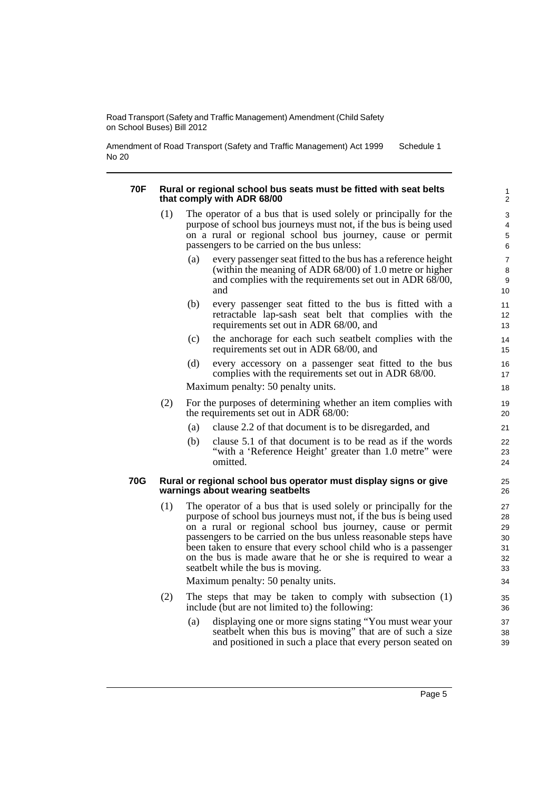Amendment of Road Transport (Safety and Traffic Management) Act 1999 No 20 Schedule 1

#### **70F Rural or regional school bus seats must be fitted with seat belts that comply with ADR 68/00**

- (1) The operator of a bus that is used solely or principally for the purpose of school bus journeys must not, if the bus is being used on a rural or regional school bus journey, cause or permit passengers to be carried on the bus unless:
	- (a) every passenger seat fitted to the bus has a reference height (within the meaning of ADR 68/00) of 1.0 metre or higher and complies with the requirements set out in ADR 68/00, and
	- (b) every passenger seat fitted to the bus is fitted with a retractable lap-sash seat belt that complies with the requirements set out in ADR 68/00, and
	- (c) the anchorage for each such seatbelt complies with the requirements set out in ADR 68/00, and
	- (d) every accessory on a passenger seat fitted to the bus complies with the requirements set out in ADR 68/00.

Maximum penalty: 50 penalty units.

- (2) For the purposes of determining whether an item complies with the requirements set out in ADR 68/00:
	- (a) clause 2.2 of that document is to be disregarded, and
	- (b) clause 5.1 of that document is to be read as if the words "with a 'Reference Height' greater than 1.0 metre" were omitted.

#### **70G Rural or regional school bus operator must display signs or give warnings about wearing seatbelts**

(1) The operator of a bus that is used solely or principally for the purpose of school bus journeys must not, if the bus is being used on a rural or regional school bus journey, cause or permit passengers to be carried on the bus unless reasonable steps have been taken to ensure that every school child who is a passenger on the bus is made aware that he or she is required to wear a seatbelt while the bus is moving.

Maximum penalty: 50 penalty units.

- (2) The steps that may be taken to comply with subsection (1) include (but are not limited to) the following:
	- (a) displaying one or more signs stating "You must wear your seatbelt when this bus is moving" that are of such a size and positioned in such a place that every person seated on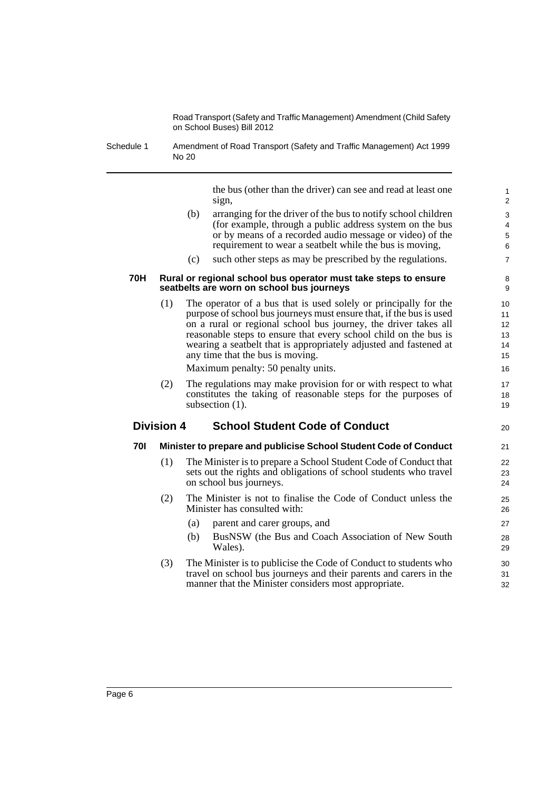Schedule 1 Amendment of Road Transport (Safety and Traffic Management) Act 1999 No 20

> the bus (other than the driver) can see and read at least one sign,

20

- (b) arranging for the driver of the bus to notify school children (for example, through a public address system on the bus or by means of a recorded audio message or video) of the requirement to wear a seatbelt while the bus is moving,
- (c) such other steps as may be prescribed by the regulations.

#### **70H Rural or regional school bus operator must take steps to ensure seatbelts are worn on school bus journeys**

(1) The operator of a bus that is used solely or principally for the purpose of school bus journeys must ensure that, if the bus is used on a rural or regional school bus journey, the driver takes all reasonable steps to ensure that every school child on the bus is wearing a seatbelt that is appropriately adjusted and fastened at any time that the bus is moving.

Maximum penalty: 50 penalty units.

(2) The regulations may make provision for or with respect to what constitutes the taking of reasonable steps for the purposes of subsection  $(1)$ .

#### **Division 4 School Student Code of Conduct**

#### **70I Minister to prepare and publicise School Student Code of Conduct**

- (1) The Minister is to prepare a School Student Code of Conduct that sets out the rights and obligations of school students who travel on school bus journeys.
- (2) The Minister is not to finalise the Code of Conduct unless the Minister has consulted with:
	- (a) parent and carer groups, and
	- (b) BusNSW (the Bus and Coach Association of New South Wales).
- (3) The Minister is to publicise the Code of Conduct to students who travel on school bus journeys and their parents and carers in the manner that the Minister considers most appropriate.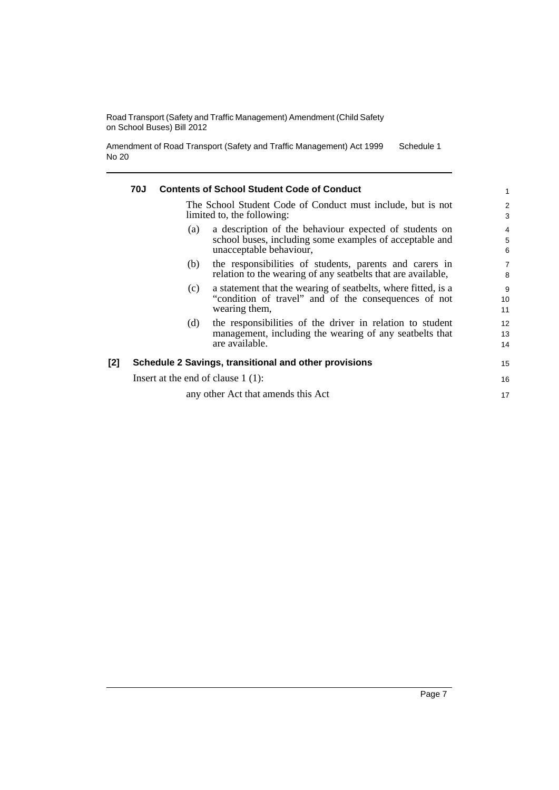Amendment of Road Transport (Safety and Traffic Management) Act 1999 No 20 Schedule 1

|     | 70J                                  | <b>Contents of School Student Code of Conduct</b>                                                                                            | $\mathbf{1}$             |
|-----|--------------------------------------|----------------------------------------------------------------------------------------------------------------------------------------------|--------------------------|
|     |                                      | The School Student Code of Conduct must include, but is not<br>limited to, the following:                                                    | $\overline{2}$<br>3      |
|     | (a)                                  | a description of the behaviour expected of students on<br>school buses, including some examples of acceptable and<br>unacceptable behaviour, | $\overline{4}$<br>5<br>6 |
|     | (b)                                  | the responsibilities of students, parents and carers in<br>relation to the wearing of any seatbelts that are available,                      | $\overline{7}$<br>8      |
|     | (c)                                  | a statement that the wearing of seatbelts, where fitted, is a<br>"condition of travel" and of the consequences of not<br>wearing them,       | 9<br>10<br>11            |
|     | (d)                                  | the responsibilities of the driver in relation to student<br>management, including the wearing of any seatbelts that<br>are available.       | 12<br>13<br>14           |
| [2] |                                      | Schedule 2 Savings, transitional and other provisions                                                                                        | 15                       |
|     | Insert at the end of clause $1(1)$ : |                                                                                                                                              | 16                       |
|     |                                      | any other Act that amends this Act                                                                                                           | 17                       |